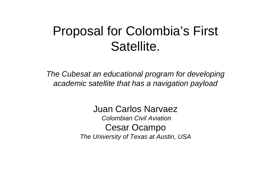### Proposal for Colombia's First Satellite.

*The Cubesat an educational program for developing academic satellite that has a navigation payload*

> Juan Carlos Narvaez *Colombian Civil Aviation*Cesar Ocampo *The University of Texas at Austin, USA*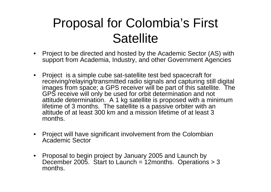### Proposal for Colombia's First **Satellite**

- Project to be directed and hosted by the Academic Sector (AS) with support from Academia, Industry, and other Government Agencies
- Project is a simple cube sat-satellite test bed spacecraft for receiving/relaying/transmitted radio signals and capturing still digital images from space; a GPS receiver will be part of this satellite. The GPS receive will only be used for orbit determination and not attitude determination. A 1 kg satellite is proposed with a minimum lifetime of 3 months. The satellite is a passive orbiter with an altitude of at least 300 km and a mission lifetime of at least 3months.
- • Project will have significant involvement from the Colombian Academic Sector
- Proposal to begin project by January 2005 and Launch by December 2005. Start to Launch =  $12$ months. Operations > 3 months.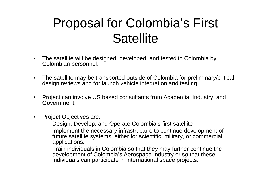### Proposal for Colombia's First **Satellite**

- $\bullet$  The satellite will be designed, developed, and tested in Colombia by Colombian personnel.
- $\bullet$  The satellite may be transported outside of Colombia for preliminary/critical design reviews and for launch vehicle integration and testing.
- • Project can involve US based consultants from Academia, Industry, and Government.
- $\bullet$  Project Objectives are:
	- Design, Develop, and Operate Colombia's first satellite
	- Implement the necessary infrastructure to continue development of future satellite systems, either for scientific, military, or commercial applications.
	- Train individuals in Colombia so that they may further continue the development of Colombia's Aerospace Industry or so that these individuals can participate in international space projects.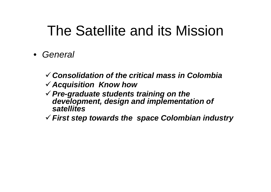- *General*
	- 9*Consolidation of the critical mass in Colombia*
	- <sup>9</sup>*Acquisition Know how*
	- <sup>9</sup>*Pre-graduate students training on the development, design and implementation of satellites*
	- 9*First step towards the space Colombian industry*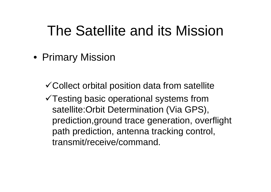• Primary Mission

 $\checkmark$  Collect orbital position data from satellite

 $\sqrt{T}$ esting basic operational systems from satellite:Orbit Determination (Via GPS), prediction,ground trace generation, overflight path prediction, antenna tracking control, transmit/receive/command.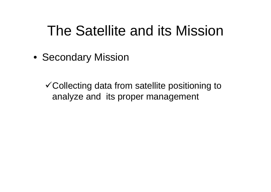• Secondary Mission

 $\checkmark$  Collecting data from satellite positioning to analyze and its proper management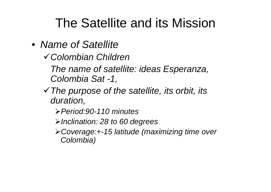- *Name of Satellite*
	- 9*Colombian Children*

*The name of satellite: ideas Esperanza, Colombia Sat -1,*

- <sup>9</sup>*The purpose of the satellite, its orbit, its duration,*
	- ¾*Period:90-110 minutes*
	- ¾*Inclination: 28 to 60 degrees*
	- ¾*Coverage:+-15 latitude (maximizing time over Colombia)*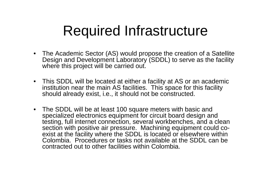# Required Infrastructure

- The Academic Sector (AS) would propose the creation of a Satellite Design and Development Laboratory (SDDL) to serve as the facility where this project will be carried out.
- This SDDL will be located at either a facility at AS or an academic institution near the main AS facilities. This space for this facility should already exist, i.e., it should not be constructed.
- The SDDL will be at least 100 square meters with basic and specialized electronics equipment for circuit board design and testing, full internet connection, several workbenches, and a clean section with positive air pressure. Machining equipment could coexist at the facility where the SDDL is located or elsewhere within Colombia. Procedures or tasks not available at the SDDL can be contracted out to other facilities within Colombia.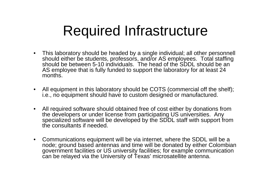# Required Infrastructure

- • This laboratory should be headed by a single individual; all other personnell should either be students, professors, and/or AS employees. Total staffing should be between 5-10 individuals. The head of the SDDL should be an AS employee that is fully funded to support the laboratory for at least 24 months.
- $\bullet$  All equipment in this laboratory should be COTS (commercial off the shelf); i.e., no equipment should have to custom designed or manufactured.
- $\bullet$  All required software should obtained free of cost either by donations from the developers or under license from participating US universities. Any specialized software will be developed by the SDDL staff with support from the consultants if needed.
- $\bullet$  Communications equipment will be via internet, where the SDDL will be a node; ground based antennas and time will be donated by either Colombian government facilities or US university facilities; for example communication can be relayed via the University of Texas' microsatellite antenna.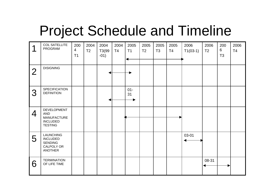# Project Schedule and Timeline

| 1              | <b>COL SATELLITE</b><br>PROGRAM                                                       | 200<br>$\overline{4}$<br>T1 | 2004<br>T <sub>2</sub> | 2004<br>T3(99<br>$-01)$ | 2004<br>T4 | 2005<br>T1   | 2005<br>T <sub>2</sub> | 2005<br>T <sub>3</sub> | 2005<br>T4 | 2006<br>$T1(03-1)$ | 2006<br>T <sub>2</sub> | 200<br>6<br>T <sub>3</sub> | 2006<br>T <sub>4</sub> |
|----------------|---------------------------------------------------------------------------------------|-----------------------------|------------------------|-------------------------|------------|--------------|------------------------|------------------------|------------|--------------------|------------------------|----------------------------|------------------------|
| $\overline{2}$ | <b>DISIGNING</b>                                                                      |                             |                        |                         |            |              |                        |                        |            |                    |                        |                            |                        |
| 3              | <b>SPECIFICATION</b><br><b>DEFINITION</b>                                             |                             |                        |                         |            | $01 -$<br>31 |                        |                        |            |                    |                        |                            |                        |
| $\overline{4}$ | DEVELOPMENT<br><b>AND</b><br><b>MANUFACTURE</b><br><b>INCLUDED</b><br><b>TESTING</b>  |                             |                        |                         |            |              |                        |                        |            |                    |                        |                            |                        |
| 5              | <b>LAUNCHING</b><br><b>INCLUDED</b><br><b>SENDING</b><br>CALPOLY OR<br><b>ANOTHER</b> |                             |                        |                         |            |              |                        |                        |            | 03-01              |                        |                            |                        |
| 6              | <b>TERMINATION</b><br>OF LIFE TIME                                                    |                             |                        |                         |            |              |                        |                        |            |                    | 08-31                  |                            |                        |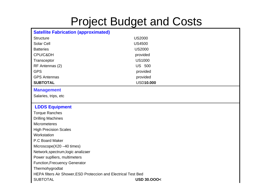### Project Budget and Costs

#### **Satellite Fabrication (approximated)**

| <b>Structure</b>                                                | <b>US2000</b>         |  |  |  |  |  |
|-----------------------------------------------------------------|-----------------------|--|--|--|--|--|
| <b>Solar Cell</b>                                               | <b>US4500</b>         |  |  |  |  |  |
| <b>Batteries</b>                                                | <b>US2000</b>         |  |  |  |  |  |
| CPU/C&DH                                                        | provided              |  |  |  |  |  |
| Transceptor                                                     | <b>US1000</b>         |  |  |  |  |  |
| RF Antennas (2)                                                 | <b>US 500</b>         |  |  |  |  |  |
| <b>GPS</b>                                                      | provided              |  |  |  |  |  |
| <b>GPS Antennas</b>                                             | provided              |  |  |  |  |  |
| <b>SUBTOTAL</b>                                                 | <b>USD10.000</b>      |  |  |  |  |  |
| <b>Management</b>                                               |                       |  |  |  |  |  |
| Salaries, trips, etc                                            |                       |  |  |  |  |  |
|                                                                 |                       |  |  |  |  |  |
| <b>LDDS Equipment</b>                                           |                       |  |  |  |  |  |
| <b>Torque Ranches</b>                                           |                       |  |  |  |  |  |
| <b>Drilling Machines</b>                                        |                       |  |  |  |  |  |
| <b>Micrometeres</b>                                             |                       |  |  |  |  |  |
| <b>High Precision Scales</b>                                    |                       |  |  |  |  |  |
| Workstation                                                     |                       |  |  |  |  |  |
| P.C Board Maker                                                 |                       |  |  |  |  |  |
| Microscope(X20 -40 times)                                       |                       |  |  |  |  |  |
| Network, spectrum, logic analizaer                              |                       |  |  |  |  |  |
| Power suplliers, multimeters                                    |                       |  |  |  |  |  |
| <b>Function, Frecuency Generator</b>                            |                       |  |  |  |  |  |
| Thermohygrodtat                                                 |                       |  |  |  |  |  |
| HEPA filters Air Shower, ESD Proteccion and Electrical Test Bed |                       |  |  |  |  |  |
| <b>SUBTOTAL</b>                                                 | <b>USD 30,000&lt;</b> |  |  |  |  |  |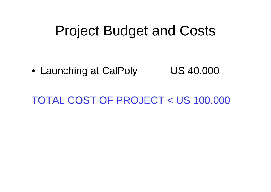## Project Budget and Costs

• Launching at CalPoly  $\qquad \qquad \sf US\ 40.000$ 

TOTAL COST OF PROJECT < US 100.000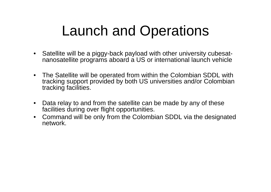# Launch and Operations

- $\bullet$  Satellite will be a piggy-back payload with other university cubesatnanosatellite programs aboard a US or international launch vehicle
- The Satellite will be operated from within the Colombian SDDL with tracking support provided by both US universities and/or Colombian tracking facilities.
- • Data relay to and from the satellite can be made by any of these facilities during over flight opportunities.
- $\bullet$  Command will be only from the Colombian SDDL via the designated network.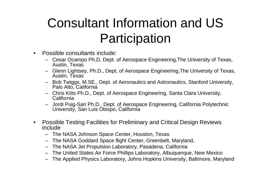## Consultant Information and US **Participation**

- • Possible consultants include:
	- Cesar Ocampo Ph.D, Dept. of Aerospace Engineering,The University of Texas, Austin, Texas
	- Glenn Lightsey, Ph.D., Dept. of Aerospace Engineering,The University of Texas, Austin, Texas
	- Bob Twiggs, M.SE., Dept. of Aeronautics and Astronautics, Stanford University, Palo Alto, California
	- Chris Kitts Ph.D., Dept. of Aerospace Engineering, Santa Clara University, California
	- Jordi Puig-Sari Ph.D., Dept. of Aerospace Engineering, California Polytechnic University, San Luis Obispo, California
- • Possible Testing Facilities for Preliminary and Critical Design Reviews include
	- The NASA Johnson Space Center, Houston, Texas
	- The NASA Goddard Space flight Center, Greenbelt, Maryland,
	- The NASA Jet Propulsion Laboratory, Pasadena, California
	- The United States Air Force Phillips Laboratory, Albuquerque, New Mexico
	- The Applied Physics Laboratory, Johns Hopkins University, Baltimore, Maryland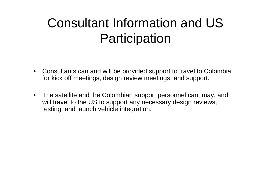### Consultant Information and US Participation

- $\bullet$  Consultants can and will be provided support to travel to Colombia for kick off meetings, design review meetings, and support.
- $\bullet$  The satellite and the Colombian support personnel can, may, and will travel to the US to support any necessary design reviews, testing, and launch vehicle integration.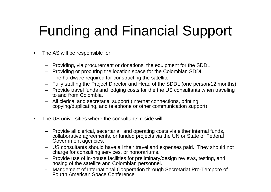# Funding and Financial Support

- • The AS will be responsible for:
	- Providing, via procurement or donations, the equipment for the SDDL
	- Providing or procuring the location space for the Colombian SDDL
	- The hardware required for constructing the satellite
	- Fully staffing the Project Director and Head of the SDDL (one person/12 months)
	- Provide travel funds and lodging costs for the the US consultants when traveling to and from Colombia.
	- All clerical and secretarial support (internet connections, printing, copying/duplicating, and telephone or other communication support)
- • The US universities where the consultants reside will
	- Provide all clerical, secertarial, and operating costs via either internal funds, collaborative agreements, or funded projects via the UN or State or Federal Government agencies.
	- US consultants should have all their travel and expenses paid. They should not charge for consulting services, or honorariums.
	- Provide use of in-house facilities for preliminary/design reviews, testing, and hosing of the satellite and Colombian personnel.
	- - Mangement of International Cooperation through Secretariat Pro-Tempore of Fourth American Space Conference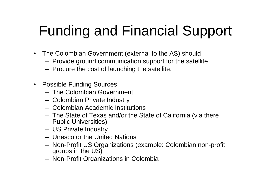# Funding and Financial Support

- The Colombian Government (external to the AS) should
	- Provide ground communication support for the satellite
	- Procure the cost of launching the satellite.
- Possible Funding Sources:
	- The Colombian Government
	- Colombian Private Industry
	- Colombian Academic Institutions
	- The State of Texas and/or the State of California (via there Public Universities)
	- US Private Industry
	- Unesco or the United Nations
	- Non-Profit US Organizations (example: Colombian non-profit groups in the US)
	- Non-Profit Organizations in Colombia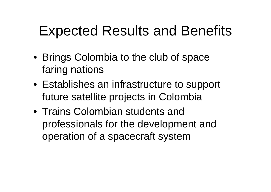## Expected Results and Benefits

- Brings Colombia to the club of space faring nations
- Establishes an infrastructure to support future satellite projects in Colombia
- Trains Colombian students and professionals for the development and operation of a spacecraft system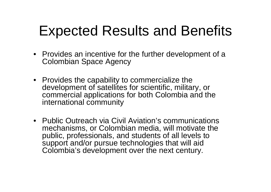# Expected Results and Benefits

- Provides an incentive for the further development of a Colombian Space Agency
- Provides the capability to commercialize the development of satellites for scientific, military, or commercial applications for both Colombia and the international community
- Public Outreach via Civil Aviation's communications mechanisms, or Colombian media, will motivate the public, professionals, and students of all levels to support and/or pursue technologies that will aid Colombia's development over the next century.